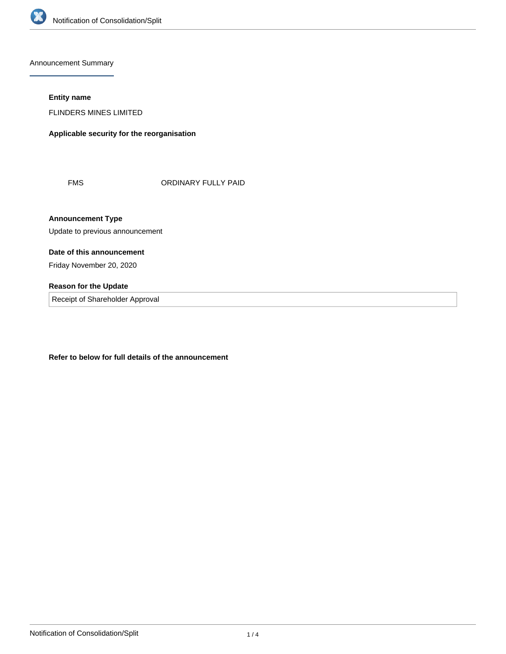

Announcement Summary

# **Entity name**

FLINDERS MINES LIMITED

**Applicable security for the reorganisation**

FMS ORDINARY FULLY PAID

**Announcement Type**

Update to previous announcement

# **Date of this announcement**

Friday November 20, 2020

# **Reason for the Update**

Receipt of Shareholder Approval

**Refer to below for full details of the announcement**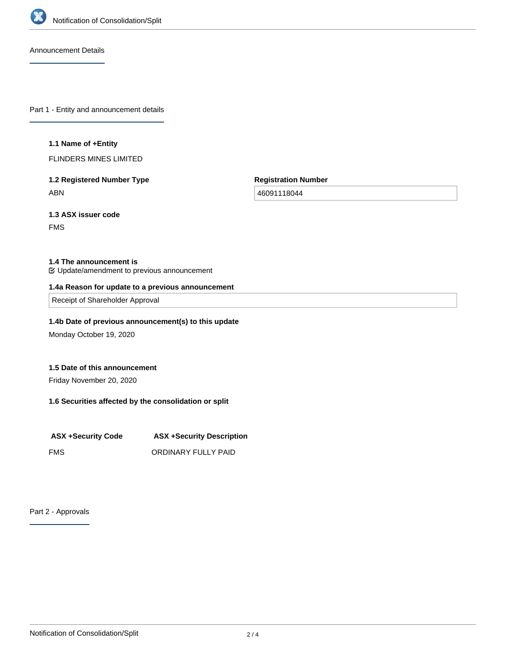

Announcement Details

Part 1 - Entity and announcement details

#### **1.1 Name of +Entity**

FLINDERS MINES LIMITED

**1.2 Registered Number Type** ABN

**Registration Number**

46091118044

**1.3 ASX issuer code** FMS

#### **1.4 The announcement is**

Update/amendment to previous announcement

#### **1.4a Reason for update to a previous announcement**

Receipt of Shareholder Approval

# **1.4b Date of previous announcement(s) to this update**

Monday October 19, 2020

## **1.5 Date of this announcement**

Friday November 20, 2020

# **1.6 Securities affected by the consolidation or split**

| <b>ASX +Security Code</b> | <b>ASX +Security Description</b> |  |
|---------------------------|----------------------------------|--|
| <b>FMS</b>                | ORDINARY FULLY PAID              |  |

Part 2 - Approvals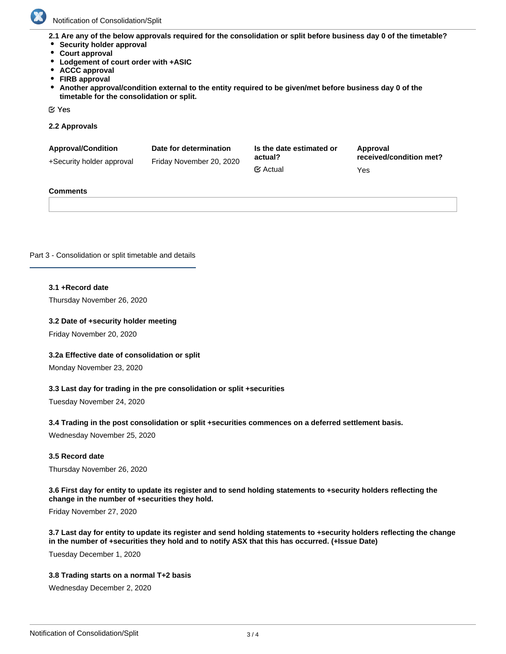

Notification of Consolidation/Split

**2.1 Are any of the below approvals required for the consolidation or split before business day 0 of the timetable?**

- **•** Security holder approval
- **Court approval**
- **Lodgement of court order with +ASIC**
- **ACCC approval**
- **FIRB approval**
- **Another approval/condition external to the entity required to be given/met before business day 0 of the**  $\bullet$ **timetable for the consolidation or split.**

Yes

**2.2 Approvals**

| <b>Approval/Condition</b><br>+Security holder approval | Date for determination<br>Friday November 20, 2020 | Is the date estimated or<br>actual? | Approval<br>received/condition met? |
|--------------------------------------------------------|----------------------------------------------------|-------------------------------------|-------------------------------------|
|                                                        |                                                    | $\mathfrak{C}$ Actual               | Yes                                 |

#### **Comments**

Part 3 - Consolidation or split timetable and details

#### **3.1 +Record date**

Thursday November 26, 2020

#### **3.2 Date of +security holder meeting**

Friday November 20, 2020

#### **3.2a Effective date of consolidation or split**

Monday November 23, 2020

#### **3.3 Last day for trading in the pre consolidation or split +securities**

Tuesday November 24, 2020

#### **3.4 Trading in the post consolidation or split +securities commences on a deferred settlement basis.**

Wednesday November 25, 2020

#### **3.5 Record date**

Thursday November 26, 2020

#### **3.6 First day for entity to update its register and to send holding statements to +security holders reflecting the change in the number of +securities they hold.**

Friday November 27, 2020

# **3.7 Last day for entity to update its register and send holding statements to +security holders reflecting the change in the number of +securities they hold and to notify ASX that this has occurred. (+Issue Date)**

Tuesday December 1, 2020

#### **3.8 Trading starts on a normal T+2 basis**

Wednesday December 2, 2020